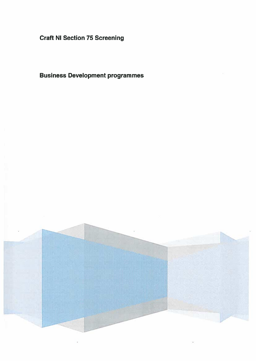Craft NI Section 75 Screening

Business Development programmes

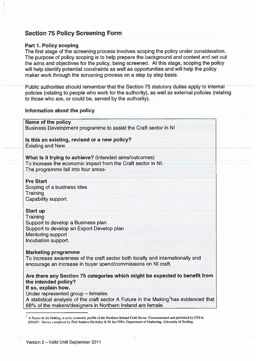# Section 75 Policy Screening Form

### Part 1. Policy scoping

The first stage of the screening process involves scoping the policy under consideration. The purpose of policy scoping is to help prepare the background and context and set out the aims and objectives for the policy, being screened. At this stage, scoping the policy will help identify potential constraints as well as opportunities and will help the policy maker work through the screening process on <sup>a</sup> step by step basis.

Public authorities should remember that the Section 75 statutory duties apply to interna policies (relating to people who work for the authority), as well as external policies (relating to those who are, or could be, served by the authority).

# Information about the policy

Name of the policy

Business Development programme to assist the Craft sector in N

Is this an existing, revised or <sup>a</sup> new policy? Existing and New.

What is it trying to achieve? (intended aims/outcomes) To increase the economic impact from the Craft sector in NI. The programme fall into four areas

Pre Start Scoping of <sup>a</sup> business idea **Training** Capability support.

#### Start up

**Training** Support to develop <sup>a</sup> Business plan Support to develop an Export Develop plan Mentoring suppor<sup>t</sup> Incubation support.

#### Marketing programme

To increase awareness of the craft sector both locally and internationally and encourage an increase in buyer spend/commissions on NI craft.

# Are there any Section 75 categories which might be expected to benefit from the intended policy?

#### If so, explain how.

Under represented group — females.

A statistical analysis of the craft sector A Future in the Making'has evidenced that 68% of the makers/designers in Northern Ireland are female.

A Future in the Making, a socio economic profile of the Northern Ireland Craft Sector. Commissioned and published by CNI in 2006/07. Survey completed by Prof Andrew McAuley & Dr Ian Fillis, Department of Marketing, University of Sterling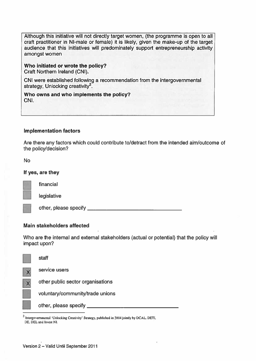Although this initiative will not directly target women, (the programme is open to all craft practitioner in NI-male or female) it is likely, given the make-up of the target audience that this initiatives will predominately suppor<sup>t</sup> entrepreneurship activity amongst women

# Who initiated or wrote the policy?

Craft Northern Ireland (CNI).

CNI were established following <sup>a</sup> recommendation from the intergovernmental strategy, Unlocking creativity<sup>2</sup>.

# Who owns and who implements the policy? CNI.

# Implementation factors

Are there any factors which could contribute to/detract from the intended aim/outcome of the policy/decision?

No

# If yes, are they

legislative

financial



other, please specify

# Main stakeholders affected

Who are the internal and external stakeholders (actual or potential) that the policy will impact upon?

|   | staff                             |
|---|-----------------------------------|
| X | service users                     |
| X | other public sector organisations |
|   | voluntary/community/trade unions  |
|   | other, please specify             |

<sup>2</sup> Intergovernmental 'Unlocking Creativity' Strategy, published in <sup>2004</sup> jointly by DCAL. DETI. DE. DEL and Invest NI.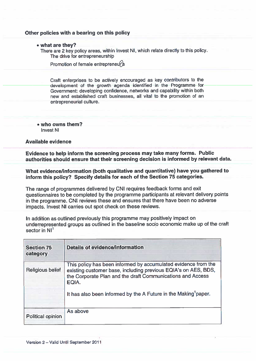### Other policies with <sup>a</sup> bearing on this policy

#### • what are they?

There are <sup>2</sup> key policy areas, within Invest NI, which relate directly to this policy. The drive for entrepreneurship

Promotion of female entrepreneur*j* 

Craft enterprises to be actively encouraged as key contributors to the development of the growth agenda identified in the Programme for Government: developing confidence, networks and capability within both new and established craft businesses, all vital to the promotion of an entrepreneurial culture.

• who owns them? Invest N

#### Available evidence

Evidence to help inform the screening process may take many forms. Public authorities should ensure that their screening decision is informed by relevant data.

What evidence/information (both qualitative and quantitative) have you gathered to inform this policy? Specify details for each of the Section <sup>75</sup> categories.

The range of programmes delivered by CNI requires feedback forms and exit questionnaires to be completed by the programme participants at relevant delivery points in the programme. CNI reviews these and ensures that there have been no adverse impacts. Invest NI carries out spo<sup>t</sup> check on these reviews.

In addition as outlined previously this programme may positively impact on underrepresented groups as outlined in the baseline socio economic make up of the craft sector in NI'

| <b>Section 75</b><br>category | <b>Details of evidence/information</b>                                                                                                                                                                                                                                                 |
|-------------------------------|----------------------------------------------------------------------------------------------------------------------------------------------------------------------------------------------------------------------------------------------------------------------------------------|
| <b>Religious belief</b>       | This policy has been informed by accumulated evidence from the<br>existing customer base, including previous EQIA's on AES, BDS,<br>the Corporate Plan and the draft Communications and Access<br>EQIA.<br>It has also been informed by the A Future in the Making <sup>1</sup> paper. |
| Political opinion             | As above                                                                                                                                                                                                                                                                               |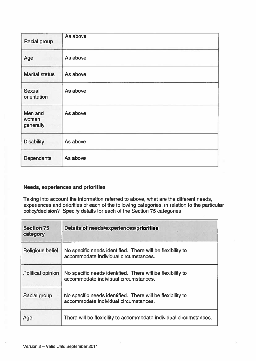| Racial group                  | As above |
|-------------------------------|----------|
| Age                           | As above |
| <b>Marital status</b>         | As above |
| Sexual<br>orientation         | As above |
| Men and<br>women<br>generally | As above |
| <b>Disability</b>             | As above |
| Dependants                    | As above |

# Needs, experiences and priorities

Taking into account the information referred to above, what are the different needs, experiences and priorities of each of the following categories, in relation to the particular policy/decision? Specify details for each of the Section 75 categories

| <b>Section 75</b><br>category | <b>Details of needs/experiences/priorities</b>                                                      |
|-------------------------------|-----------------------------------------------------------------------------------------------------|
| Religious belief              | No specific needs identified. There will be flexibility to<br>accommodate individual circumstances. |
| Political opinion             | No specific needs identified. There will be flexibility to<br>accommodate individual circumstances. |
| Racial group                  | No specific needs identified. There will be flexibility to<br>accommodate individual circumstances. |
| Age                           | There will be flexibility to accommodate individual circumstances.                                  |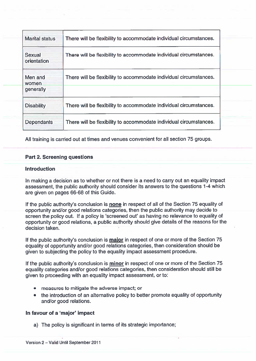| <b>Marital status</b>         | There will be flexibility to accommodate individual circumstances. |  |  |
|-------------------------------|--------------------------------------------------------------------|--|--|
| <b>Sexual</b><br>orientation  | There will be flexibility to accommodate individual circumstances. |  |  |
| Men and<br>women<br>generally | There will be flexibility to accommodate individual circumstances. |  |  |
| <b>Disability</b>             | There will be flexibility to accommodate individual circumstances. |  |  |
| Dependants                    | There will be flexibility to accommodate individual circumstances. |  |  |

All training is carried out at times and venues convenient for all section 75 groups.

# Part 2. Screening questions

### **Introduction**

In making a decision as to whether or not there is a need to carry out an equality impac assessment, the public authority should consider its answers to the questions 1-4 which are given on pages 66-68 of this Guide.

If the public authority's conclusion is **none** in respect of all of the Section 75 equality of opportunity and/or good relations categories, then the public authority may decide to screen the policy out. If <sup>a</sup> policy is 'screened out' as having no relevance to equality of opportunity or good relations, <sup>a</sup> public authority should <sup>g</sup>ive details of the reasons for the decision taken.

If the public authority's conclusion is major in respect of one or more of the Section 7! equality of opportunity and/or good relations categories, then consideration should be given to subjecting the policy to the equality impact assessment procedure.

If the public authority's conclusion is minor in respect of one or more of the Section 75 equality categories and/or good relations categories, then consideration should still be given to proceeding with an equality impact assessment, or to:

- measures to mitigate the adverse impact; or
- •• the introduction of an alternative policy to better promote equality of opportunity and/or good relations.

# In favour of a 'major' impact

a) The policy is significant in terms of its strategic importance;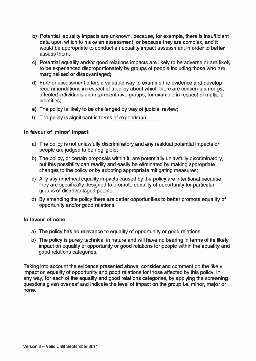- b) Potential equality impacts are unknown, because, for example, there is insufficient data upon which to make an assessment or because they are complex, and it would be appropriate to conduct an equality impact assessment in order to better assess them;
- c) Potential equality and/or good relations impacts are likely to be adverse or are likely to be experienced disproportionately by groups of people including those who are marginalised or disadvantaged;
- d) Further assessment offers <sup>a</sup> valuable way to examine the evidence and develop recommendations in respec<sup>t</sup> of <sup>a</sup> policy about which there are concerns amongs<sup>t</sup> affected individuals and representative groups, for example in respec<sup>t</sup> of multiple identities;
- e) The policy is likely to be challenged by way of judicial review;
- f) The policy is significant in terms of expenditure.

# In favour of 'minor' impact

- a) The policy is not unlawfully discriminatory and any residual potential impacts on people are judged to be negligible;
- b) The policy, or certain proposals within it, are potentially unlawfully discriminatory, but this possibility can readily and easily be eliminated by making appropriate changes to the policy or by adopting appropriate mitigating measures;
- c) Any asymmetrical equality impacts caused by the policy are intentional because they are specifically designed to promote equality of opportunity for particular groups of disadvantaged people;
- d) By amending the policy there are better opportunities to better promote equality of opportunity and/or good relations.

#### In favour of none

- a) The policy has no relevance to equality of opportunity or good relations.
- b) The policy is purely technical in nature and will have no bearing in terms of its likely impact on equality of opportunity or good relations for people within the equality and good relations categories.

Taking into account the evidence presented above, consider and comment on the likely impact on equality of opportunity and good relations for those affected by this policy, in any way, for each of the equality and good relations categories, by applying the screening questions given overleaf and indicate the level of impact on the group i.e. minor, major or none.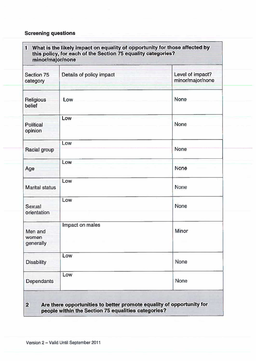# Screening questions

| Section 75<br>category        | Details of policy impact | Level of impact?<br>minor/major/none |
|-------------------------------|--------------------------|--------------------------------------|
| Religious<br><b>belief</b>    | Low                      | <b>None</b>                          |
| <b>Political</b><br>opinion   | Low                      | <b>None</b>                          |
| Racial group                  | Low                      | None                                 |
| Age                           | Low                      | <b>None</b>                          |
| <b>Marital status</b>         | Low                      | <b>None</b>                          |
| <b>Sexual</b><br>orientation  | Low                      | <b>None</b>                          |
| Men and<br>women<br>generally | Impact on males          | Minor                                |
| <b>Disability</b>             | Low                      | <b>None</b>                          |
| <b>Dependants</b>             | Low                      | <b>None</b>                          |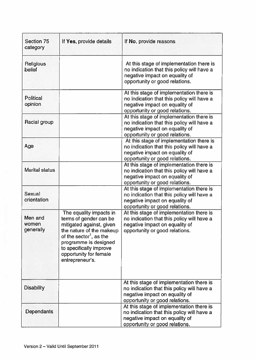| <b>Section 75</b><br>category | If Yes, provide details                                                                                                                                                                                                                           | If No, provide reasons                                                                                                                                     |
|-------------------------------|---------------------------------------------------------------------------------------------------------------------------------------------------------------------------------------------------------------------------------------------------|------------------------------------------------------------------------------------------------------------------------------------------------------------|
| Religious<br>belief           |                                                                                                                                                                                                                                                   | At this stage of implementation there is<br>no indication that this policy will have a<br>negative impact on equality of<br>opportunity or good relations. |
| <b>Political</b><br>opinion   |                                                                                                                                                                                                                                                   | At this stage of implementation there is<br>no indication that this policy will have a<br>negative impact on equality of<br>opportunity or good relations. |
| <b>Racial group</b>           |                                                                                                                                                                                                                                                   | At this stage of implementation there is<br>no indication that this policy will have a<br>negative impact on equality of<br>opportunity or good relations. |
| Age                           |                                                                                                                                                                                                                                                   | At this stage of implementation there is<br>no indication that this policy will have a<br>negative impact on equality of<br>opportunity or good relations. |
| <b>Marital status</b>         |                                                                                                                                                                                                                                                   | At this stage of implementation there is<br>no indication that this policy will have a<br>negative impact on equality of<br>opportunity or good relations. |
| Sexual<br>orientation         |                                                                                                                                                                                                                                                   | At this stage of implementation there is<br>no indication that this policy will have a<br>negative impact on equality of<br>opportunity or good relations. |
| Men and<br>women<br>generally | The equality impacts in<br>terms of gender can be<br>mitigated against, given<br>the nature of the makeup<br>of the sector <sup>1</sup> , as the<br>programme is designed<br>to specifically improve<br>opportunity for female<br>entrepreneur's. | At this stage of implementation there is<br>no indication that this policy will have a<br>negative impact on equality of<br>opportunity or good relations. |
| <b>Disability</b>             |                                                                                                                                                                                                                                                   | At this stage of implementation there is<br>no indication that this policy will have a<br>negative impact on equality of<br>opportunity or good relations. |
| <b>Dependants</b>             |                                                                                                                                                                                                                                                   | At this stage of implementation there is<br>no indication that this policy will have a<br>negative impact on equality of<br>opportunity or good relations. |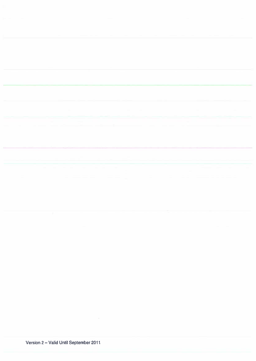|                     | $\sim$ $\sim$                                                                   |                          | $\overline{a}$           |       |  |
|---------------------|---------------------------------------------------------------------------------|--------------------------|--------------------------|-------|--|
|                     |                                                                                 |                          |                          |       |  |
|                     |                                                                                 |                          |                          |       |  |
|                     |                                                                                 |                          |                          |       |  |
|                     |                                                                                 |                          |                          |       |  |
|                     |                                                                                 |                          |                          |       |  |
|                     |                                                                                 |                          |                          |       |  |
|                     |                                                                                 |                          |                          |       |  |
|                     |                                                                                 |                          |                          |       |  |
|                     |                                                                                 |                          |                          |       |  |
| the contract of the | the contract of the contract of the contract of the contract of the contract of |                          |                          |       |  |
|                     |                                                                                 | <b>Contract Contract</b> |                          |       |  |
|                     |                                                                                 |                          |                          |       |  |
|                     |                                                                                 |                          |                          |       |  |
|                     |                                                                                 |                          |                          |       |  |
|                     |                                                                                 |                          |                          |       |  |
| .                   |                                                                                 |                          | <b>Contract Contract</b> | _____ |  |
|                     | .                                                                               |                          |                          |       |  |

Version 2— Valid Until September 2011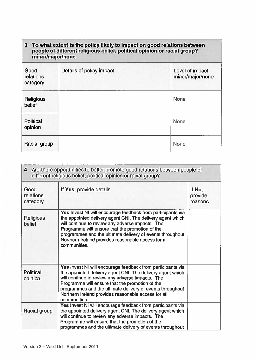# 3 To what extent is the policy likely to impact on good relations between people of different religious belief, political opinion or racial group? minor/major/none

| Good<br>relations<br>category | Details of policy impact | Level of impact<br>minor/major/none |
|-------------------------------|--------------------------|-------------------------------------|
| Religious<br>belief           |                          | <b>None</b>                         |
| <b>Political</b><br>opinion   |                          | None                                |
| Racial group                  |                          | <b>None</b>                         |

| 4 Are there opportunities to better promote good relations between people of<br>different religious belief, political opinion or racial group? |                                                                                                                                                                                                                                                                                                                                                                      |                              |  |  |
|------------------------------------------------------------------------------------------------------------------------------------------------|----------------------------------------------------------------------------------------------------------------------------------------------------------------------------------------------------------------------------------------------------------------------------------------------------------------------------------------------------------------------|------------------------------|--|--|
| Good<br>relations<br>category                                                                                                                  | If Yes, provide details                                                                                                                                                                                                                                                                                                                                              | If No,<br>provide<br>reasons |  |  |
| Religious<br>belief                                                                                                                            | Yes Invest NI will encourage feedback from participants via<br>the appointed delivery agent CNI. The delivery agent which<br>will continue to review any adverse impacts. The<br>Programme will ensure that the promotion of the<br>programmes and the ultimate delivery of events throughout<br>Northern Ireland provides reasonable access for all<br>communities. |                              |  |  |
| <b>Political</b><br>opinion                                                                                                                    | Yes Invest Ni will encourage feedback from participants via<br>the appointed delivery agent CNI. The delivery agent which<br>will continue to review any adverse impacts. The<br>Programme will ensure that the promotion of the<br>programmes and the ultimate delivery of events throughout<br>Northern ireland provides reasonable access for all<br>communities. |                              |  |  |
| Racial group                                                                                                                                   | Yes invest NI will encourage feedback from participants via<br>the appointed delivery agent CNI. The delivery agent which<br>will continue to review any adverse impacts. The<br>Programme will ensure that the promotion of the<br>programmes and the ultimate delivery of events throughout                                                                        |                              |  |  |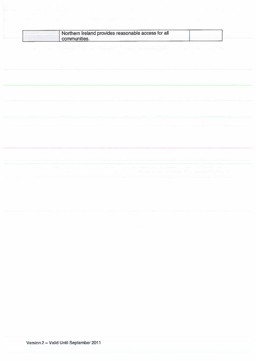| Northern Ireland provides reasonable access for all |  |
|-----------------------------------------------------|--|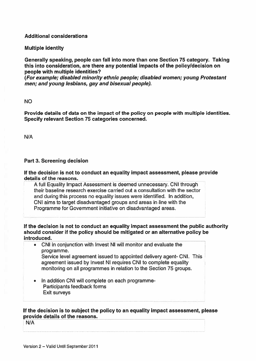# Additional considerations

Multiple identity

Generally speaking, people can fall into more than one Section 75 category. Taking this into consideration, are there any potential impacts of the policy/decision on people with multiple identities?

(For example; disabled minority ethnic people; disabled women; young Protestant men; and young lesbians, gay and bisexual people).

NO

Provide details of data on the impact of the policy on people with multiple identities. Specify relevant Section 75 categories concerned.

N/A

### Part 3. Screening decision

If the decision is not to conduct an equality impact assessment, please provide details of the reasons.

A full Equality Impact Assessment is deemed unnecessary. CNI through their baseline research exercise carried out <sup>a</sup> consultation with the sector and during this process no equality issues were identified. In addition, CNI aims to target disadvantaged groups and areas in line with the Programme for Government initiative on disadvantaged areas.

If the decision is not to conduct an equality impact assessment the public authority should consider if the policy should be mitigated or an alternative policy be introduced.

- CNI in conjunction with Invest NI will monitor and evaluate the programme. Service level agreemen<sup>t</sup> issued to appointed delivery agent- CNI. This agreemen<sup>t</sup> issued by Invest NI requires CNI to complete equality monitoring on all programmes in relation to the Section 75 groups.
- In addition CNI will complete on each programme-Participants feedback forms Exit surveys

If the decision is to subject the policy to an equality impact assessment, please provide details of the reasons.

N/A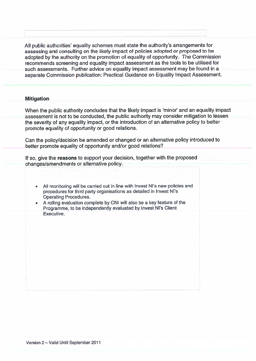All public authorities' equality schemes must state the authority's arrangements for assessing and consulting on the likely impact of policies adopted or propose<sup>d</sup> to be adopted by the authority on the promotion of equality of opportunity. The Commission recommends screening and equality impact assessment as the tools to be utilised for such assessments. Further advice on equality impact assessment may be found in <sup>a</sup> separate Commission publication: Practical Guidance on Equality Impact Assessment.

#### **Mitigation**

When the public authority concludes that the likely impact is 'minor' and an equality impact assessment is not to be conducted, the public authority may consider mitigation to lessen the severity of any equality impact, or the introduction of an alternative policy to better promote equality of opportunity or good relations.

Can the policy/decision be amended or changed or an alternative policy introduced to better promote equality of opportunity and/or good relations?

If so, give the **reasons** to support your decision, together with the proposed changes/amendments or alternative policy.

- All monitoring will be carried out in line with Invest NI's new policies and procedures for third party organisations as detailed in Invest NI's Operating Procedures.
- A rolling evaluation complete by CNI will also be <sup>a</sup> key feature of the Programme, to be independently evaluated by Invest NI's Client Executive.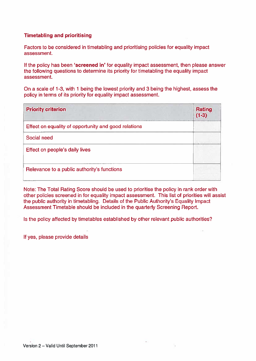# Timetabling and prioritising

Factors to be considered in timetabling and prioritising policies for equality impact assessment.

If the policy has been **'screened in'** for equality impact assessment, then please answer the following questions to determine its priority for timetabling the equality impact assessment.

On <sup>a</sup> scale of 1-3, with 1 being the lowest priority and 3 being the highest, assess the policy in terms of its priority for equality impact assessment.

| <b>Priority criterion</b>                            | <b>Rating</b><br>$(1-3)$ |
|------------------------------------------------------|--------------------------|
| Effect on equality of opportunity and good relations |                          |
| Social need                                          |                          |
| Effect on people's daily lives                       |                          |
| Relevance to a public authority's functions          |                          |

Note: The Total Rating Score should be used to prioritise the policy in rank order with other policies screened in for equality impact assessment. This list of priorities will assist the public authority in timetabling. Details of the Public Authority's Equality Impact Assessment Timetable should be included in the quarterly Screening Report.

Is the policy affected by timetables established by other relevant public authorities?

If yes, please provide details